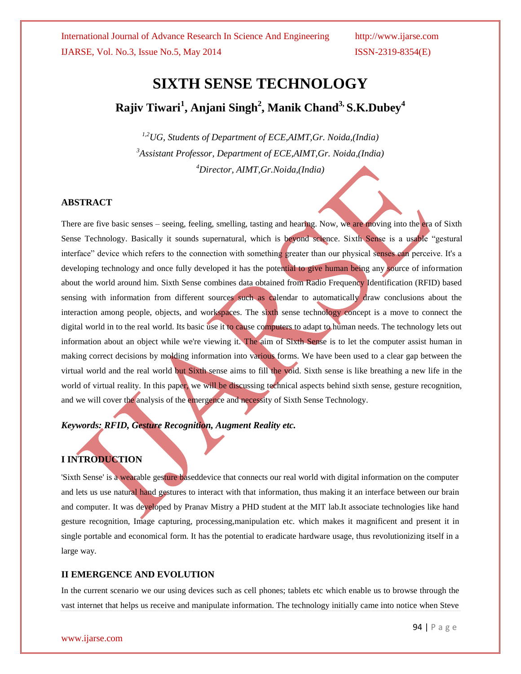# **SIXTH SENSE TECHNOLOGY Rajiv Tiwari<sup>1</sup> , Anjani Singh<sup>2</sup> , Manik Chand3, S.K.Dubey<sup>4</sup>**

*1,2UG, Students of Department of ECE,AIMT,Gr. Noida,(India) <sup>3</sup>Assistant Professor, Department of ECE,AIMT,Gr. Noida,(India) <sup>4</sup>Director, AIMT,Gr.Noida,(India)*

#### **ABSTRACT**

There are five basic senses – seeing, feeling, smelling, tasting and hearing. Now, we are moving into the era of Sixth Sense Technology. Basically it sounds supernatural, which is beyond science. Sixth Sense is a usable "gestural interface" device which refers to the connection with something greater than our physical senses can perceive. It's a developing technology and once fully developed it has the potential to give human being any source of information about the world around him. Sixth Sense combines data obtained from Radio Frequency Identification (RFID) based sensing with information from different sources such as calendar to automatically draw conclusions about the interaction among people, objects, and workspaces. The sixth sense technology concept is a move to connect the digital world in to the real world. Its basic use it to cause computers to adapt to human needs. The technology lets out information about an object while we're viewing it. The aim of Sixth Sense is to let the computer assist human in making correct decisions by molding information into various forms. We have been used to a clear gap between the virtual world and the real world but Sixth sense aims to fill the void. Sixth sense is like breathing a new life in the world of virtual reality. In this paper, we will be discussing technical aspects behind sixth sense, gesture recognition, and we will cover the analysis of the emergence and necessity of Sixth Sense Technology.

*Keywords: RFID, Gesture Recognition, Augment Reality etc.*

### **I INTRODUCTION**

'Sixth Sense' is a wearable gesture baseddevice that connects our real world with digital information on the computer and lets us use natural hand gestures to interact with that information, thus making it an interface between our brain and computer. It was developed by Pranav Mistry a PHD student at the MIT lab.It associate technologies like hand gesture recognition, Image capturing, processing,manipulation etc. which makes it magnificent and present it in single portable and economical form. It has the potential to eradicate hardware usage, thus revolutionizing itself in a large way.

#### **II EMERGENCE AND EVOLUTION**

In the current scenario we our using devices such as cell phones; tablets etc which enable us to browse through the vast internet that helps us receive and manipulate information. The technology initially came into notice when Steve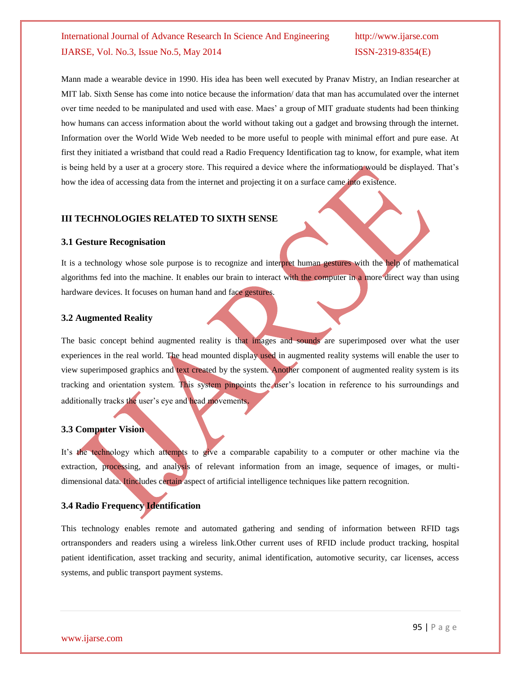Mann made a wearable device in 1990. His idea has been well executed by Pranav Mistry, an Indian researcher at MIT lab. Sixth Sense has come into notice because the information/ data that man has accumulated over the internet over time needed to be manipulated and used with ease. Maes" a group of MIT graduate students had been thinking how humans can access information about the world without taking out a gadget and browsing through the internet. Information over the World Wide Web needed to be more useful to people with minimal effort and pure ease. At first they initiated a wristband that could read a Radio Frequency Identification tag to know, for example, what item is being held by a user at a grocery store. This required a device where the information would be displayed. That"s how the idea of accessing data from the internet and projecting it on a surface came into existence.

#### **III TECHNOLOGIES RELATED TO SIXTH SENSE**

#### **3.1 Gesture Recognisation**

It is a technology whose sole purpose is to recognize and interpret human gestures with the help of mathematical algorithms fed into the machine. It enables our brain to interact with the computer in a more direct way than using hardware devices. It focuses on human hand and face gestures.

#### **3.2 Augmented Reality**

The basic concept behind augmented reality is that images and sounds are superimposed over what the user experiences in the real world. The head mounted display used in augmented reality systems will enable the user to view superimposed graphics and text created by the system. Another component of augmented reality system is its tracking and orientation system. This system pinpoints the user"s location in reference to his surroundings and additionally tracks the user's eye and head movements.

#### **3.3 Computer Vision**

It's the technology which attempts to give a comparable capability to a computer or other machine via the extraction, processing, and analysis of relevant information from an image, sequence of images, or multidimensional data. Itincludes certain aspect of artificial intelligence techniques like pattern recognition.

#### **3.4 Radio Frequency Identification**

This technology enables remote and automated gathering and sending of information between RFID tags ortransponders and readers using a wireless link.Other current uses of RFID include product tracking, hospital patient identification, asset tracking and security, animal identification, automotive security, car licenses, access systems, and public transport payment systems.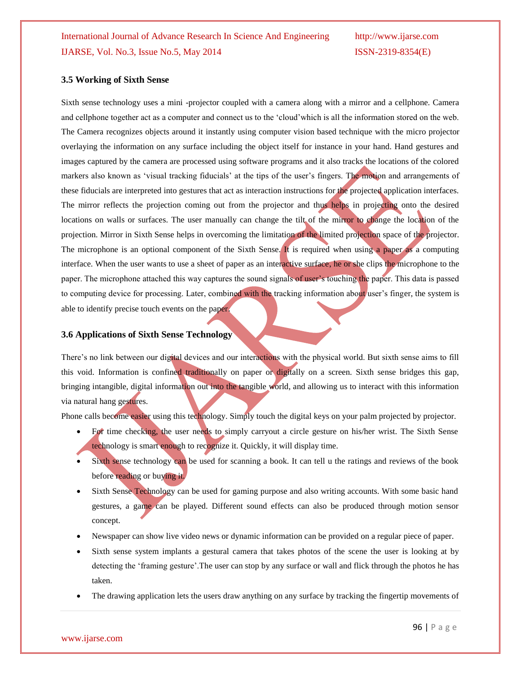#### **3.5 Working of Sixth Sense**

Sixth sense technology uses a mini -projector coupled with a camera along with a mirror and a cellphone. Camera and cellphone together act as a computer and connect us to the "cloud"which is all the information stored on the web. The Camera recognizes objects around it instantly using computer vision based technique with the micro projector overlaying the information on any surface including the object itself for instance in your hand. Hand gestures and images captured by the camera are processed using software programs and it also tracks the locations of the colored markers also known as 'visual tracking fiducials' at the tips of the user's fingers. The motion and arrangements of these fiducials are interpreted into gestures that act as interaction instructions for the projected application interfaces. The mirror reflects the projection coming out from the projector and thus helps in projecting onto the desired locations on walls or surfaces. The user manually can change the tilt of the mirror to change the location of the projection. Mirror in Sixth Sense helps in overcoming the limitation of the limited projection space of the projector. The microphone is an optional component of the Sixth Sense. It is required when using a paper as a computing interface. When the user wants to use a sheet of paper as an interactive surface, he or she clips the microphone to the paper. The microphone attached this way captures the sound signals of user"s touching the paper. This data is passed to computing device for processing. Later, combined with the tracking information about user's finger, the system is able to identify precise touch events on the paper.

#### **3.6 Applications of Sixth Sense Technology**

There's no link between our digital devices and our interactions with the physical world. But sixth sense aims to fill this void. Information is confined traditionally on paper or digitally on a screen. Sixth sense bridges this gap, bringing intangible, digital information out into the tangible world, and allowing us to interact with this information via natural hang gestures.

Phone calls become easier using this technology. Simply touch the digital keys on your palm projected by projector.

- For time checking, the user needs to simply carryout a circle gesture on his/her wrist. The Sixth Sense technology is smart enough to recognize it. Quickly, it will display time.
- Sixth sense technology can be used for scanning a book. It can tell u the ratings and reviews of the book before reading or buying it.
- Sixth Sense Technology can be used for gaming purpose and also writing accounts. With some basic hand gestures, a game can be played. Different sound effects can also be produced through motion sensor concept.
- Newspaper can show live video news or dynamic information can be provided on a regular piece of paper.
- Sixth sense system implants a gestural camera that takes photos of the scene the user is looking at by detecting the "framing gesture".The user can stop by any surface or wall and flick through the photos he has taken.
- The drawing application lets the users draw anything on any surface by tracking the fingertip movements of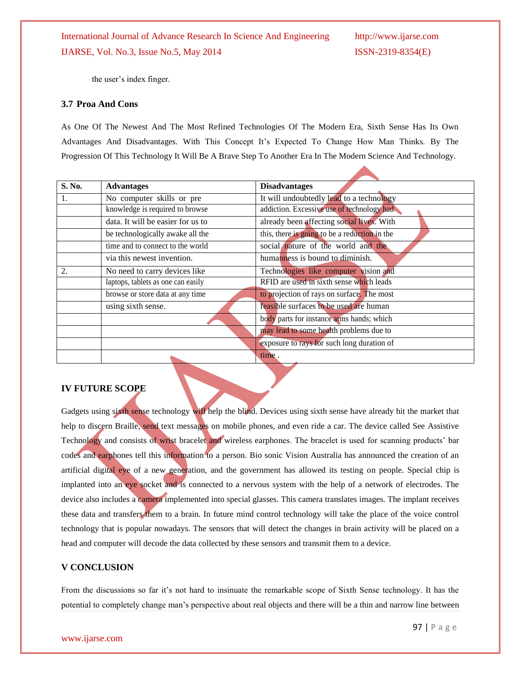the user's index finger.

#### **3.7 Proa And Cons**

As One Of The Newest And The Most Refined Technologies Of The Modern Era, Sixth Sense Has Its Own Advantages And Disadvantages. With This Concept It"s Expected To Change How Man Thinks. By The Progression Of This Technology It Will Be A Brave Step To Another Era In The Modern Science And Technology.

| S. No. | <b>Advantages</b>                  | <b>Disadvantages</b>                          |
|--------|------------------------------------|-----------------------------------------------|
| 1.     | No computer skills or pre          | It will undoubtedly lead to a technology      |
|        | knowledge is required to browse    | addiction. Excessive use of technology had    |
|        | data. It will be easier for us to  | already been affecting social lives. With     |
|        | be technologically awake all the   | this, there is going to be a reduction in the |
|        | time and to connect to the world   | social nature of the world and the            |
|        | via this newest invention.         | humanness is bound to diminish.               |
| 2.     | No need to carry devices like      | Technologies like computer vision and         |
|        | laptops, tablets as one can easily | RFID are used in sixth sense which leads      |
|        | browse or store data at any time   | to projection of rays on surface. The most    |
|        | using sixth sense.                 | feasible surfaces to be used are human        |
|        |                                    | body parts for instance arms hands; which     |
|        |                                    | may lead to some health problems due to       |
|        |                                    | exposure to rays for such long duration of    |
|        |                                    | time.                                         |

#### **IV FUTURE SCOPE**

Gadgets using sixth sense technology will help the blind. Devices using sixth sense have already hit the market that help to discern Braille, send text messages on mobile phones, and even ride a car. The device called See Assistive Technology and consists of wrist bracelet and wireless earphones. The bracelet is used for scanning products' bar codes and earphones tell this information to a person. Bio sonic Vision Australia has announced the creation of an artificial digital eye of a new generation, and the government has allowed its testing on people. Special chip is implanted into an eye socket and is connected to a nervous system with the help of a network of electrodes. The device also includes a camera implemented into special glasses. This camera translates images. The implant receives these data and transfers them to a brain. In future mind control technology will take the place of the voice control technology that is popular nowadays. The sensors that will detect the changes in brain activity will be placed on a head and computer will decode the data collected by these sensors and transmit them to a device.

#### **V CONCLUSION**

From the discussions so far it's not hard to insinuate the remarkable scope of Sixth Sense technology. It has the potential to completely change man"s perspective about real objects and there will be a thin and narrow line between